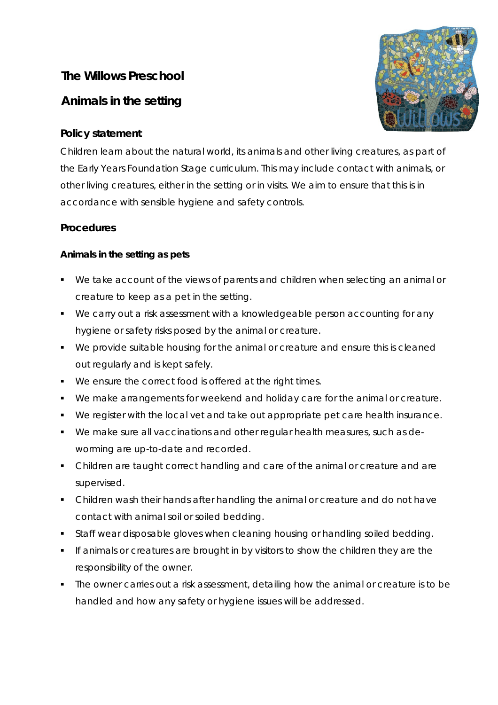# **The Willows Preschool**

# **Animals in the setting**

# **Policy statement**

Children learn about the natural world, its animals and other living creatures, as part of the Early Years Foundation Stage curriculum. This may include contact with animals, or other living creatures, either in the setting or in visits. We aim to ensure that this is in accordance with sensible hygiene and safety controls.

## **Procedures**

## **Animals in the setting as pets**

- We take account of the views of parents and children when selecting an animal or creature to keep as a pet in the setting.
- We carry out a risk assessment with a knowledgeable person accounting for any hygiene or safety risks posed by the animal or creature.
- We provide suitable housing for the animal or creature and ensure this is cleaned out regularly and is kept safely.
- We ensure the correct food is offered at the right times.
- We make arrangements for weekend and holiday care for the animal or creature.
- We register with the local vet and take out appropriate pet care health insurance.
- We make sure all vaccinations and other regular health measures, such as deworming are up-to-date and recorded.
- Children are taught correct handling and care of the animal or creature and are supervised.
- Children wash their hands after handling the animal or creature and do not have contact with animal soil or soiled bedding.
- **Staff wear disposable gloves when cleaning housing or handling soiled bedding.**
- If animals or creatures are brought in by visitors to show the children they are the responsibility of the owner.
- The owner carries out a risk assessment, detailing how the animal or creature is to be handled and how any safety or hygiene issues will be addressed.